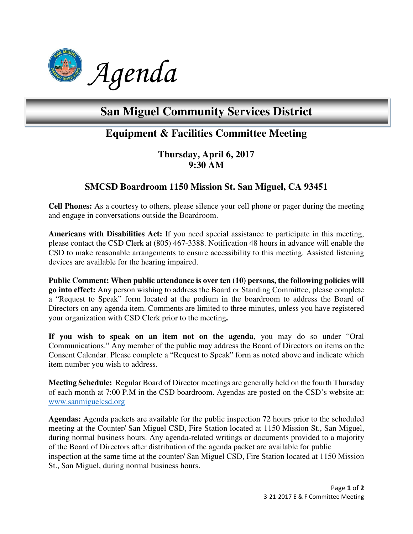

# **San Miguel Community Services District**

## **Equipment & Facilities Committee Meeting**

**Thursday, April 6, 2017 9:30 AM** 

### **SMCSD Boardroom 1150 Mission St. San Miguel, CA 93451**

**Cell Phones:** As a courtesy to others, please silence your cell phone or pager during the meeting and engage in conversations outside the Boardroom.

**Americans with Disabilities Act:** If you need special assistance to participate in this meeting, please contact the CSD Clerk at (805) 467-3388. Notification 48 hours in advance will enable the CSD to make reasonable arrangements to ensure accessibility to this meeting. Assisted listening devices are available for the hearing impaired.

**Public Comment: When public attendance is over ten (10) persons, the following policies will go into effect:** Any person wishing to address the Board or Standing Committee, please complete a "Request to Speak" form located at the podium in the boardroom to address the Board of Directors on any agenda item. Comments are limited to three minutes, unless you have registered your organization with CSD Clerk prior to the meeting**.** 

**If you wish to speak on an item not on the agenda**, you may do so under "Oral Communications." Any member of the public may address the Board of Directors on items on the Consent Calendar. Please complete a "Request to Speak" form as noted above and indicate which item number you wish to address.

**Meeting Schedule:** Regular Board of Director meetings are generally held on the fourth Thursday of each month at 7:00 P.M in the CSD boardroom. Agendas are posted on the CSD's website at: www.sanmiguelcsd.org

**Agendas:** Agenda packets are available for the public inspection 72 hours prior to the scheduled meeting at the Counter/ San Miguel CSD, Fire Station located at 1150 Mission St., San Miguel, during normal business hours. Any agenda-related writings or documents provided to a majority of the Board of Directors after distribution of the agenda packet are available for public inspection at the same time at the counter/ San Miguel CSD, Fire Station located at 1150 Mission St., San Miguel, during normal business hours.